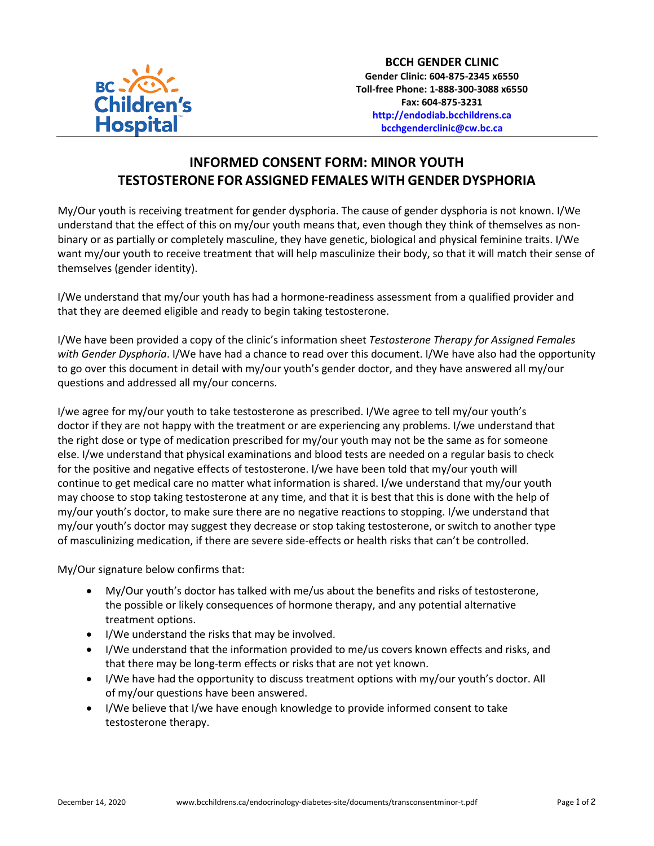

## **INFORMED CONSENT FORM: MINOR YOUTH TESTOSTERONE FOR ASSIGNED FEMALES WITH GENDER DYSPHORIA**

My/Our youth is receiving treatment for gender dysphoria. The cause of gender dysphoria is not known. I/We understand that the effect of this on my/our youth means that, even though they think of themselves as nonbinary or as partially or completely masculine, they have genetic, biological and physical feminine traits. I/We want my/our youth to receive treatment that will help masculinize their body, so that it will match their sense of themselves (gender identity).

I/We understand that my/our youth has had a hormone-readiness assessment from a qualified provider and that they are deemed eligible and ready to begin taking testosterone.

I/We have been provided a copy of the clinic's information sheet *Testosterone Therapy for Assigned Females with Gender Dysphoria*. I/We have had a chance to read over this document. I/We have also had the opportunity to go over this document in detail with my/our youth's gender doctor, and they have answered all my/our questions and addressed all my/our concerns.

I/we agree for my/our youth to take testosterone as prescribed. I/We agree to tell my/our youth's doctor if they are not happy with the treatment or are experiencing any problems. I/we understand that the right dose or type of medication prescribed for my/our youth may not be the same as for someone else. I/we understand that physical examinations and blood tests are needed on a regular basis to check for the positive and negative effects of testosterone. I/we have been told that my/our youth will continue to get medical care no matter what information is shared. I/we understand that my/our youth may choose to stop taking testosterone at any time, and that it is best that this is done with the help of my/our youth's doctor, to make sure there are no negative reactions to stopping. I/we understand that my/our youth's doctor may suggest they decrease or stop taking testosterone, or switch to another type of masculinizing medication, if there are severe side-effects or health risks that can't be controlled.

My/Our signature below confirms that:

- My/Our youth's doctor has talked with me/us about the benefits and risks of testosterone, the possible or likely consequences of hormone therapy, and any potential alternative treatment options.
- I/We understand the risks that may be involved.
- I/We understand that the information provided to me/us covers known effects and risks, and that there may be long-term effects or risks that are not yet known.
- I/We have had the opportunity to discuss treatment options with my/our youth's doctor. All of my/our questions have been answered.
- I/We believe that I/we have enough knowledge to provide informed consent to take testosterone therapy.